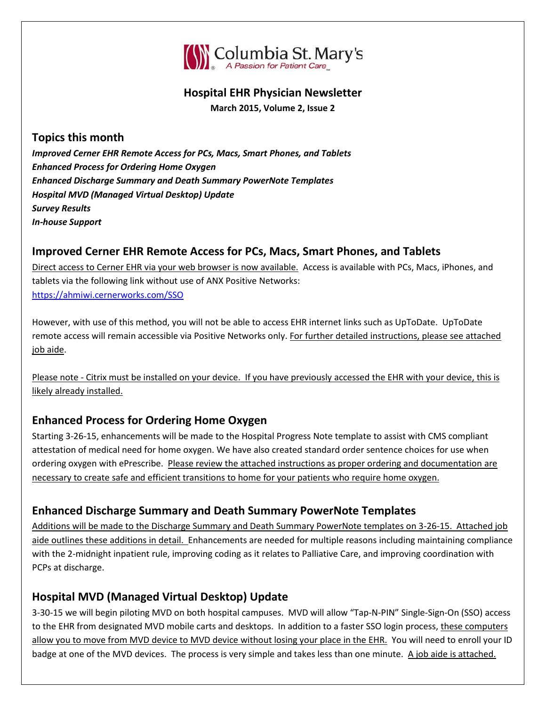

#### **Hospital EHR Physician Newsletter**

**March 2015, Volume 2, Issue 2**

### **Topics this month**

*Improved Cerner EHR Remote Access for PCs, Macs, Smart Phones, and Tablets Enhanced Process for Ordering Home Oxygen Enhanced Discharge Summary and Death Summary PowerNote Templates Hospital MVD (Managed Virtual Desktop) Update Survey Results In-house Support*

### **Improved Cerner EHR Remote Access for PCs, Macs, Smart Phones, and Tablets**

Direct access to Cerner EHR via your web browser is now available. Access is available with PCs, Macs, iPhones, and tablets via the following link without use of ANX Positive Networks: <https://ahmiwi.cernerworks.com/SSO>

However, with use of this method, you will not be able to access EHR internet links such as UpToDate. UpToDate remote access will remain accessible via Positive Networks only. For further detailed instructions, please see attached job aide.

Please note - Citrix must be installed on your device. If you have previously accessed the EHR with your device, this is likely already installed.

# **Enhanced Process for Ordering Home Oxygen**

Starting 3-26-15, enhancements will be made to the Hospital Progress Note template to assist with CMS compliant attestation of medical need for home oxygen. We have also created standard order sentence choices for use when ordering oxygen with ePrescribe. Please review the attached instructions as proper ordering and documentation are necessary to create safe and efficient transitions to home for your patients who require home oxygen.

# **Enhanced Discharge Summary and Death Summary PowerNote Templates**

Additions will be made to the Discharge Summary and Death Summary PowerNote templates on 3-26-15. Attached job aide outlines these additions in detail. Enhancements are needed for multiple reasons including maintaining compliance with the 2-midnight inpatient rule, improving coding as it relates to Palliative Care, and improving coordination with PCPs at discharge.

# **Hospital MVD (Managed Virtual Desktop) Update**

3-30-15 we will begin piloting MVD on both hospital campuses. MVD will allow "Tap-N-PIN" Single-Sign-On (SSO) access to the EHR from designated MVD mobile carts and desktops. In addition to a faster SSO login process, these computers allow you to move from MVD device to MVD device without losing your place in the EHR. You will need to enroll your ID badge at one of the MVD devices. The process is very simple and takes less than one minute. A job aide is attached.